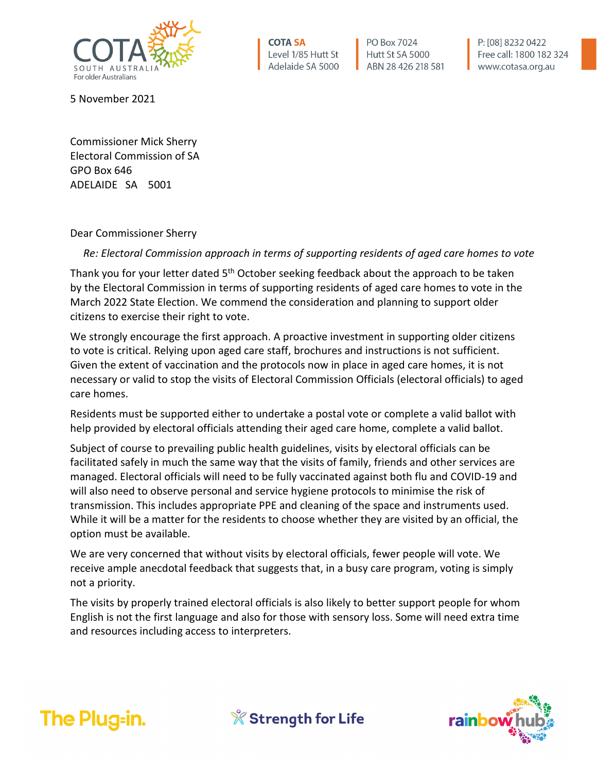

**COTA SA** Level 1/85 Hutt St Adelaide SA 5000

PO Box 7024 Hutt St SA 5000 ABN 28 426 218 581 P: [08] 8232 0422 Free call: 1800 182 324 www.cotasa.org.au

5 November 2021

Commissioner Mick Sherry Electoral Commission of SA GPO Box 646 ADELAIDE SA 5001

Dear Commissioner Sherry

*Re: Electoral Commission approach in terms of supporting residents of aged care homes to vote*

Thank you for your letter dated 5<sup>th</sup> October seeking feedback about the approach to be taken by the Electoral Commission in terms of supporting residents of aged care homes to vote in the March 2022 State Election. We commend the consideration and planning to support older citizens to exercise their right to vote.

We strongly encourage the first approach. A proactive investment in supporting older citizens to vote is critical. Relying upon aged care staff, brochures and instructions is not sufficient. Given the extent of vaccination and the protocols now in place in aged care homes, it is not necessary or valid to stop the visits of Electoral Commission Officials (electoral officials) to aged care homes.

Residents must be supported either to undertake a postal vote or complete a valid ballot with help provided by electoral officials attending their aged care home, complete a valid ballot.

Subject of course to prevailing public health guidelines, visits by electoral officials can be facilitated safely in much the same way that the visits of family, friends and other services are managed. Electoral officials will need to be fully vaccinated against both flu and COVID-19 and will also need to observe personal and service hygiene protocols to minimise the risk of transmission. This includes appropriate PPE and cleaning of the space and instruments used. While it will be a matter for the residents to choose whether they are visited by an official, the option must be available.

We are very concerned that without visits by electoral officials, fewer people will vote. We receive ample anecdotal feedback that suggests that, in a busy care program, voting is simply not a priority.

The visits by properly trained electoral officials is also likely to better support people for whom English is not the first language and also for those with sensory loss. Some will need extra time and resources including access to interpreters.